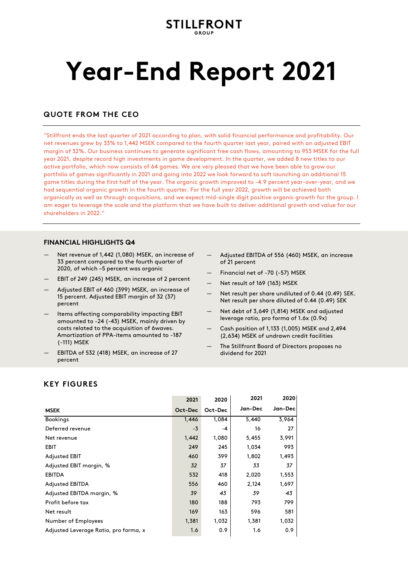# **STILLFRONT**

# **Year-End Report 2021**

# **QUOTE FROM THE CEO**

"Stillfront ends the last quarter of 2021 according to plan, with solid financial performance and profitability. Our net revenues grew by 33% to 1,442 MSEK compared to the fourth quarter last year, paired with an adjusted EBIT margin of 32%. Our business continues to generate significant free cash flows, amounting to 953 MSEK for the full year 2021, despite record high investments in game development. In the quarter, we added 8 new titles to our active portfolio, which now consists of 64 games. We are very pleased that we have been able to grow our portfolio of games significantly in 2021 and going into 2022 we look forward to soft launching an additional 15 game titles during the first half of the year. The organic growth improved to -4.9 percent year-over-year, and we had sequential organic growth in the fourth quarter. For the full year 2022, growth will be achieved both organically as well as through acquisitions, and we expect mid-single digit positive organic growth for the group. I am eager to leverage the scale and the platform that we have built to deliver additional growth and value for our shareholders in 2022."

# **FINANCIAL HIGHLIGHTS Q4**

- Net revenue of 1,442 (1,080) MSEK, an increase of 33 percent compared to the fourth quarter of 2020, of which –5 percent was organic
- EBIT of 249 (245) MSEK, an increase of 2 percent
- Adjusted EBIT of 460 (399) MSEK, an increase of 15 percent. Adjusted EBIT margin of 32 (37) percent
- Items affecting comparability impacting EBIT amounted to -24 (-43) MSEK, mainly driven by costs related to the acquisition of 6waves. Amortization of PPA-items amounted to -187 (-111) MSEK
- EBITDA of 532 (418) MSEK, an increase of 27 percent
- Adjusted EBITDA of 556 (460) MSEK, an increase of 21 percent
- Financial net of -70 (-57) MSEK
- Net result of 169 (163) MSEK
- Net result per share undiluted of 0.44 (0.49) SEK. Net result per share diluted of 0.44 (0.49) SEK
- Net debt of 3,649 (1,814) MSEK and adjusted leverage ratio, pro forma of 1.6x (0.9x)
- Cash position of 1,133 (1,005) MSEK and 2,494 (2,634) MSEK of undrawn credit facilities
- The Stillfront Board of Directors proposes no dividend for 2021

# **KEY FIGURES**

|                                       | 2021    | 2020    | 2021    | 2020    |
|---------------------------------------|---------|---------|---------|---------|
| <b>MSEK</b>                           | Oct-Dec | Oct-Dec | Jan-Dec | Jan-Dec |
| <b>Bookings</b>                       | 1,446   | 1,084   | 5,440   | 3,964   |
| Deferred revenue                      | $-3$    | -4      | 16      | 27      |
| Net revenue                           | 1,442   | 1,080   | 5,455   | 3,991   |
| <b>EBIT</b>                           | 249     | 245     | 1,034   | 993     |
| <b>Adjusted EBIT</b>                  | 460     | 399     | 1,802   | 1,493   |
| Adjusted EBIT margin, %               | 32      | 37      | 33      | 37      |
| <b>EBITDA</b>                         | 532     | 418     | 2,020   | 1,553   |
| <b>Adjusted EBITDA</b>                | 556     | 460     | 2,124   | 1,697   |
| Adjusted EBITDA margin, %             | 39      | 43      | 39      | 43      |
| Profit before tax                     | 180     | 188     | 793     | 799     |
| Net result                            | 169     | 163     | 596     | 581     |
| Number of Employees                   | 1,381   | 1,032   | 1,381   | 1,032   |
| Adjusted Leverage Ratio, pro forma, x | 1.6     | 0.9     | 1.6     | 0.9     |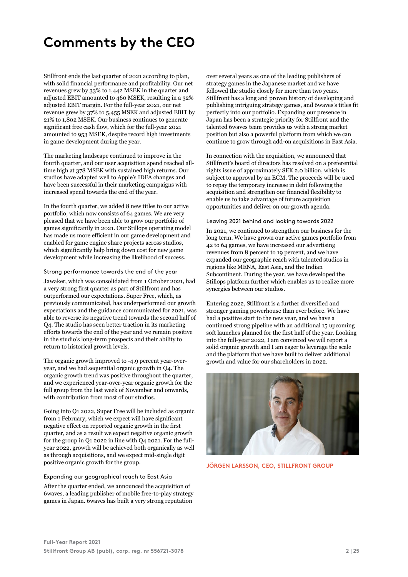# **Comments by the CEO**

Stillfront ends the last quarter of 2021 according to plan, with solid financial performance and profitability. Our net revenues grew by 33% to 1,442 MSEK in the quarter and adjusted EBIT amounted to 460 MSEK, resulting in a 32% adjusted EBIT margin. For the full-year 2021, our net revenue grew by 37% to 5,455 MSEK and adjusted EBIT by 21% to 1,802 MSEK. Our business continues to generate significant free cash flow, which for the full-year 2021 amounted to 953 MSEK, despite record high investments in game development during the year.

The marketing landscape continued to improve in the fourth quarter, and our user acquisition spend reached alltime high at 378 MSEK with sustained high returns. Our studios have adapted well to Apple's IDFA changes and have been successful in their marketing campaigns with increased spend towards the end of the year.

In the fourth quarter, we added 8 new titles to our active portfolio, which now consists of 64 games. We are very pleased that we have been able to grow our portfolio of games significantly in 2021. Our Stillops operating model has made us more efficient in our game development and enabled for game engine share projects across studios, which significantly help bring down cost for new game development while increasing the likelihood of success.

#### Strong performance towards the end of the year

Jawaker, which was consolidated from 1 October 2021, had a very strong first quarter as part of Stillfront and has outperformed our expectations. Super Free, which, as previously communicated, has underperformed our growth expectations and the guidance communicated for 2021, was able to reverse its negative trend towards the second half of Q4. The studio has seen better traction in its marketing efforts towards the end of the year and we remain positive in the studio's long-term prospects and their ability to return to historical growth levels.

The organic growth improved to -4.9 percent year-overyear, and we had sequential organic growth in Q4. The organic growth trend was positive throughout the quarter, and we experienced year-over-year organic growth for the full group from the last week of November and onwards, with contribution from most of our studios.

Going into Q1 2022, Super Free will be included as organic from 1 February, which we expect will have significant negative effect on reported organic growth in the first quarter, and as a result we expect negative organic growth for the group in Q1 2022 in line with Q4 2021. For the fullyear 2022, growth will be achieved both organically as well as through acquisitions, and we expect mid-single digit positive organic growth for the group.

#### Expanding our geographical reach to East Asia

After the quarter ended, we announced the acquisition of 6waves, a leading publisher of mobile free-to-play strategy games in Japan. 6waves has built a very strong reputation

over several years as one of the leading publishers of strategy games in the Japanese market and we have followed the studio closely for more than two years. Stillfront has a long and proven history of developing and publishing intriguing strategy games, and 6waves's titles fit perfectly into our portfolio. Expanding our presence in Japan has been a strategic priority for Stillfront and the talented 6waves team provides us with a strong market position but also a powerful platform from which we can continue to grow through add-on acquisitions in East Asia.

In connection with the acquisition, we announced that Stillfront's board of directors has resolved on a preferential rights issue of approximately SEK 2.0 billion, which is subject to approval by an EGM. The proceeds will be used to repay the temporary increase in debt following the acquisition and strengthen our financial flexibility to enable us to take advantage of future acquisition opportunities and deliver on our growth agenda.

#### Leaving 2021 behind and looking towards 2022

In 2021, we continued to strengthen our business for the long term. We have grown our active games portfolio from 42 to 64 games, we have increased our advertising revenues from 8 percent to 19 percent, and we have expanded our geographic reach with talented studios in regions like MENA, East Asia, and the Indian Subcontinent. During the year, we have developed the Stillops platform further which enables us to realize more synergies between our studios.

Entering 2022, Stillfront is a further diversified and stronger gaming powerhouse than ever before. We have had a positive start to the new year, and we have a continued strong pipeline with an additional 15 upcoming soft launches planned for the first half of the year. Looking into the full-year 2022, I am convinced we will report a solid organic growth and I am eager to leverage the scale and the platform that we have built to deliver additional growth and value for our shareholders in 2022.



**JÖRGEN LARSSON, CEO, STILLFRONT GROUP**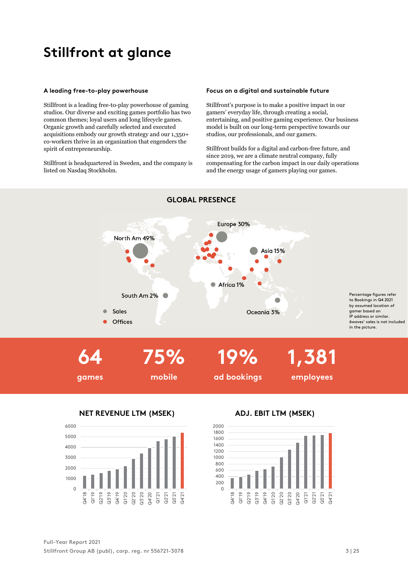# **Stillfront at glance**

#### **A leading free-to-play powerhouse**

Stillfront is a leading free-to-play powerhouse of gaming studios. Our diverse and exciting games portfolio has two common themes; loyal users and long lifecycle games. Organic growth and carefully selected and executed acquisitions embody our growth strategy and our 1,350+ co-workers thrive in an organization that engenders the spirit of entrepreneurship.

Stillfront is headquartered in Sweden, and the company is listed on Nasdaq Stockholm.

#### **Focus on a digital and sustainable future**

Stillfront's purpose is to make a positive impact in our gamers' everyday life, through creating a social, entertaining, and positive gaming experience. Our business model is built on our long-term perspective towards our studios, our professionals, and our gamers.

Stillfront builds for a digital and carbon-free future, and since 2019, we are a climate neutral company, fully compensating for the carbon impact in our daily operations and the energy usage of gamers playing our games.



**GLOBAL PRESENCE**



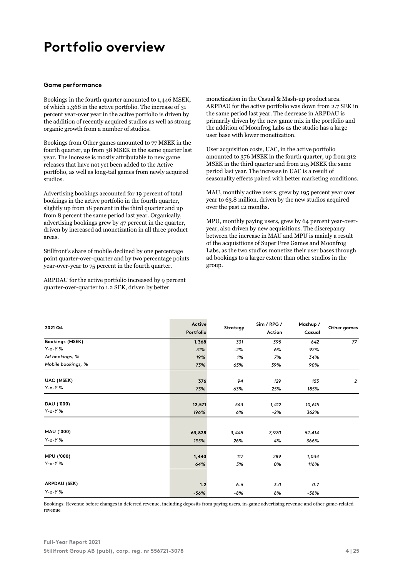# **Portfolio overview**

#### **Game performance**

Bookings in the fourth quarter amounted to 1,446 MSEK, of which 1,368 in the active portfolio. The increase of 31 percent year-over year in the active portfolio is driven by the addition of recently acquired studios as well as strong organic growth from a number of studios.

Bookings from Other games amounted to 77 MSEK in the fourth quarter, up from 38 MSEK in the same quarter last year. The increase is mostly attributable to new game releases that have not yet been added to the Active portfolio, as well as long-tail games from newly acquired studios.

Advertising bookings accounted for 19 percent of total bookings in the active portfolio in the fourth quarter, slightly up from 18 percent in the third quarter and up from 8 percent the same period last year. Organically, advertising bookings grew by 47 percent in the quarter, driven by increased ad monetization in all three product areas.

Stillfront's share of mobile declined by one percentage point quarter-over-quarter and by two percentage points year-over-year to 75 percent in the fourth quarter.

ARPDAU for the active portfolio increased by 9 percent quarter-over-quarter to 1.2 SEK, driven by better

monetization in the Casual & Mash-up product area. ARPDAU for the active portfolio was down from 2.7 SEK in the same period last year. The decrease in ARPDAU is primarily driven by the new game mix in the portfolio and the addition of Moonfrog Labs as the studio has a large user base with lower monetization.

User acquisition costs, UAC, in the active portfolio amounted to 376 MSEK in the fourth quarter, up from 312 MSEK in the third quarter and from 215 MSEK the same period last year. The increase in UAC is a result of seasonality effects paired with better marketing conditions.

MAU, monthly active users, grew by 195 percent year over year to 63.8 million, driven by the new studios acquired over the past 12 months.

MPU, monthly paying users, grew by 64 percent year-overyear, also driven by new acquisitions. The discrepancy between the increase in MAU and MPU is mainly a result of the acquisitions of Super Free Games and Moonfrog Labs, as the two studios monetize their user bases through ad bookings to a larger extent than other studios in the group.

| 2021 Q4                | Active<br>Portfolio | Strategy | Sim / RPG /<br>Action | Mashup /<br>Casual | Other games    |
|------------------------|---------------------|----------|-----------------------|--------------------|----------------|
| <b>Bookings (MSEK)</b> | 1,368               | 331      | 395                   | 642                | 77             |
| $Y$ -o- $Y$ %          | 31%                 | $-2%$    | 6%                    | 92%                |                |
| Ad bookings, %         | 19%                 | 1%       | 7%                    | 34%                |                |
| Mobile bookings, %     | 75%                 | 65%      | 59%                   | 90%                |                |
| UAC (MSEK)             | 376                 | 94       | 129                   | 153                | $\overline{2}$ |
| $Y$ -o- $Y$ %          | 75%                 | 63%      | 25%                   | 185%               |                |
| DAU ('000)             | 12,571              | 543      | 1,412                 | 10,615             |                |
| $Y$ -o- $Y$ %          | 196%                | 6%       | $-2%$                 | 362%               |                |
|                        |                     |          |                       |                    |                |
| MAU ('000)             | 63,828              | 3,445    | 7,970                 | 52,414             |                |
| $Y$ -o- $Y$ %          | 195%                | 26%      | 4%                    | 366%               |                |
| MPU ('000)             | 1,440               | 117      | 289                   | 1,034              |                |
| $Y$ -o- $Y$ %          | 64%                 | 5%       | 0%                    | 116%               |                |
|                        |                     |          |                       |                    |                |
| ARPDAU (SEK)           | 1.2                 | 6.6      | 3.0                   | 0.7                |                |
| $Y$ -o- $Y$ %          | $-56%$              | -8%      | 8%                    | $-58%$             |                |

Bookings: Revenue before changes in deferred revenue, including deposits from paying users, in-game advertising revenue and other game-related revenue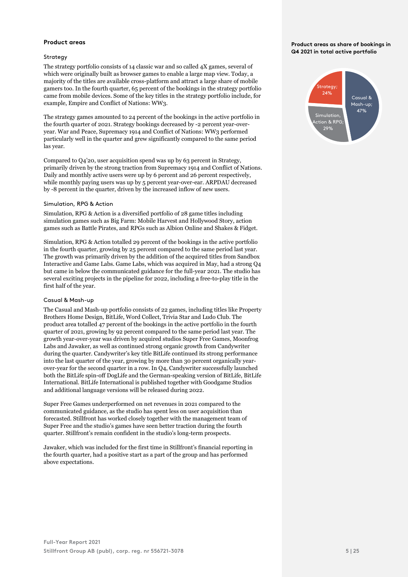## **Product areas**

### Strategy

The strategy portfolio consists of 14 classic war and so called 4X games, several of which were originally built as browser games to enable a large map view. Today, a majority of the titles are available cross-platform and attract a large share of mobile gamers too. In the fourth quarter, 65 percent of the bookings in the strategy portfolio came from mobile devices. Some of the key titles in the strategy portfolio include, for example, Empire and Conflict of Nations: WW3.

The strategy games amounted to 24 percent of the bookings in the active portfolio in the fourth quarter of 2021. Strategy bookings decreased by -2 percent year-overyear. War and Peace, Supremacy 1914 and Conflict of Nations: WW3 performed particularly well in the quarter and grew significantly compared to the same period las year.

Compared to Q4'20, user acquisition spend was up by 63 percent in Strategy, primarily driven by the strong traction from Supremacy 1914 and Conflict of Nations. Daily and monthly active users were up by 6 percent and 26 percent respectively, while monthly paying users was up by 5 percent year-over-ear. ARPDAU decreased by -8 percent in the quarter, driven by the increased inflow of new users.

#### Simulation, RPG & Action

Simulation, RPG & Action is a diversified portfolio of 28 game titles including simulation games such as Big Farm: Mobile Harvest and Hollywood Story, action games such as Battle Pirates, and RPGs such as Albion Online and Shakes & Fidget.

Simulation, RPG & Action totalled 29 percent of the bookings in the active portfolio in the fourth quarter, growing by 25 percent compared to the same period last year. The growth was primarily driven by the addition of the acquired titles from Sandbox Interactive and Game Labs. Game Labs, which was acquired in May, had a strong Q4 but came in below the communicated guidance for the full-year 2021. The studio has several exciting projects in the pipeline for 2022, including a free-to-play title in the first half of the year.

### Casual & Mash-up

The Casual and Mash-up portfolio consists of 22 games, including titles like Property Brothers Home Design, BitLife, Word Collect, Trivia Star and Ludo Club. The product area totalled 47 percent of the bookings in the active portfolio in the fourth quarter of 2021, growing by 92 percent compared to the same period last year. The growth year-over-year was driven by acquired studios Super Free Games, Moonfrog Labs and Jawaker, as well as continued strong organic growth from Candywriter during the quarter. Candywriter's key title BitLife continued its strong performance into the last quarter of the year, growing by more than 30 percent organically yearover-year for the second quarter in a row. In Q4, Candywriter successfully launched both the BitLife spin-off DogLife and the German-speaking version of BitLife, BitLife International. BitLife International is published together with Goodgame Studios and additional language versions will be released during 2022.

Super Free Games underperformed on net revenues in 2021 compared to the communicated guidance, as the studio has spent less on user acquisition than forecasted. Stillfront has worked closely together with the management team of Super Free and the studio's games have seen better traction during the fourth quarter. Stillfront's remain confident in the studio's long-term prospects.

Jawaker, which was included for the first time in Stillfront's financial reporting in the fourth quarter, had a positive start as a part of the group and has performed above expectations.

#### **Product areas as share of bookings in Q4 2021 in total active portfolio**

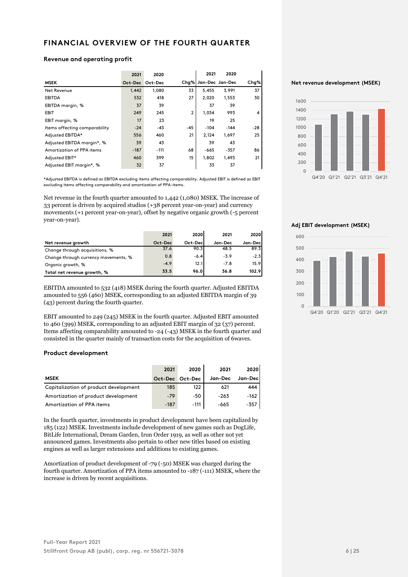# **FINANCIAL OVERVIEW OF THE FOURTH QUARTER**

#### **Revenue and operating profit**

|                               | 2021    | 2020    |                | 2021                 | 2020   |       |
|-------------------------------|---------|---------|----------------|----------------------|--------|-------|
| <b>MSEK</b>                   | Oct-Dec | Oct-Dec |                | Chq% Jan-Dec Jan-Dec |        | Chg%  |
| Net Revenue                   | 1.442   | 1,080   | 33             | 5,455                | 3,991  | 37    |
| <b>EBITDA</b>                 | 532     | 418     | 27             | 2.020                | 1,553  | 30    |
| EBITDA margin, %              | 37      | 39      |                | 37                   | 39     |       |
| <b>EBIT</b>                   | 249     | 245     | $\overline{2}$ | 1.034                | 993    | 4     |
| EBIT margin, %                | 17      | 23      |                | 19                   | 25     |       |
| Items affecting comparability | $-24$   | -43     | $-45$          | $-104$               | $-144$ | $-28$ |
| Adjusted EBITDA*              | 556     | 460     | 21             | 2,124                | 1,697  | 25    |
| Adjusted EBITDA margin*, %    | 39      | 43      |                | 39                   | 43     |       |
| Amortization of PPA items     | $-187$  | $-111$  | 68             | $-665$               | $-357$ | 86    |
| Adjusted EBIT*                | 460     | 399     | 15             | 1.802                | 1.493  | 21    |
| Adjusted EBIT margin*, %      | 32      | 37      |                | 33                   | 37     |       |

\*Adjusted EBITDA is defined as EBITDA excluding items affecting comparability. Adjusted EBIT is defined as EBIT excluding items affecting comparability and amortization of PPA-items.

Net revenue in the fourth quarter amounted to 1,442 (1,080) MSEK. The increase of 33 percent is driven by acquired studios (+38 percent year-on-year) and currency movements (+1 percent year-on-year), offset by negative organic growth (-5 percent year-on-year).

|                                      | 2021    | 2020    | 2021    | 2020     |
|--------------------------------------|---------|---------|---------|----------|
| Net revenue growth                   | Oct-Dec | Oct-Dec | Jan-Dec | Jan-Decl |
| Change through acquisitions, %       | 37.6    | 90.3    | 48.5    | 89.3     |
| Change through currency movements, % | 0.8     | $-6.4$  | $-3.9$  | $-2.3$   |
| Organic growth, %                    | $-4.9$  | 12.1    | $-7.8$  | 15.9     |
| Total net revenue growth, %          | 33.5    | 96.0    | 36.8    | 102.9    |

EBITDA amounted to 532 (418) MSEK during the fourth quarter. Adjusted EBITDA amounted to 556 (460) MSEK, corresponding to an adjusted EBITDA margin of 39 (43) percent during the fourth quarter.

EBIT amounted to 249 (245) MSEK in the fourth quarter. Adjusted EBIT amounted to 460 (399) MSEK, corresponding to an adjusted EBIT margin of 32 (37) percent. Items affecting comparability amounted to -24 (-43) MSEK in the fourth quarter and consisted in the quarter mainly of transaction costs for the acquisition of 6waves.

### **Product development**

|                                       | 2021    | 2020    | 2021    | 2020    |
|---------------------------------------|---------|---------|---------|---------|
| <b>MSEK</b>                           | Oct-Dec | Oct-Dec | Jan-Dec | Jan-Dec |
| Capitalization of product development | 185     | 122     | 621     | 444     |
| Amortization of product development   | $-79$   | $-50$   | $-263$  | -162    |
| Amortization of PPA items             | $-187$  | $-111$  | -665    | -357    |

In the fourth quarter, investments in product development have been capitalized by 185 (122) MSEK. Investments include development of new games such as DogLife, BitLife International, Dream Garden, Iron Order 1919, as well as other not yet announced games. Investments also pertain to other new titles based on existing engines as well as larger extensions and additions to existing games.

Amortization of product development of -79 (-50) MSEK was charged during the fourth quarter. Amortization of PPA items amounted to -187 (-111) MSEK, where the increase is driven by recent acquisitions.

#### **Net revenue development (MSEK)**



**Adj EBIT development (MSEK)**

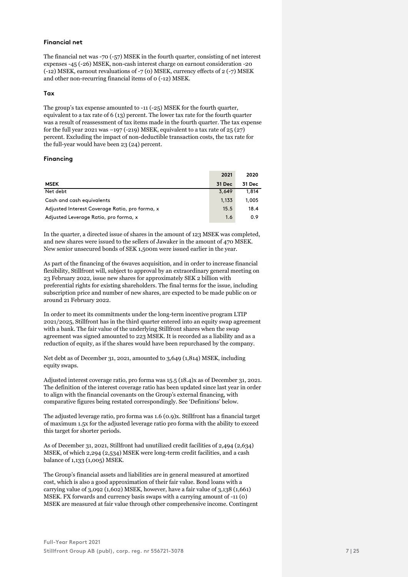## **Financial net**

The financial net was -70 (-57) MSEK in the fourth quarter, consisting of net interest expenses -45 (-26) MSEK, non-cash interest charge on earnout consideration -20 (-12) MSEK, earnout revaluations of -7 (0) MSEK, currency effects of 2 (-7) MSEK and other non-recurring financial items of 0 (-12) MSEK.

#### **Tax**

The group's tax expense amounted to -11 (-25) MSEK for the fourth quarter, equivalent to a tax rate of 6 (13) percent. The lower tax rate for the fourth quarter was a result of reassessment of tax items made in the fourth quarter. The tax expense for the full year 2021 was  $-197$  (-219) MSEK, equivalent to a tax rate of 25 (27) percent. Excluding the impact of non-deductible transaction costs, the tax rate for the full-year would have been 23 (24) percent.

#### **Financing**

|                                                | 2021   | 2020   |
|------------------------------------------------|--------|--------|
| <b>MSEK</b>                                    | 31 Dec | 31 Dec |
| Net debt                                       | 3,649  | 1,814  |
| Cash and cash equivalents                      | 1,133  | 1,005  |
| Adjusted Interest Coverage Ratio, pro forma, x | 15.5   | 18.4   |
| Adjusted Leverage Ratio, pro forma, x          | 1.6    | 0.9    |

In the quarter, a directed issue of shares in the amount of 123 MSEK was completed, and new shares were issued to the sellers of Jawaker in the amount of 470 MSEK. New senior unsecured bonds of SEK 1,500m were issued earlier in the year.

As part of the financing of the 6waves acquisition, and in order to increase financial flexibility, Stillfront will, subject to approval by an extraordinary general meeting on 23 February 2022, issue new shares for approximately SEK 2 billion with preferential rights for existing shareholders. The final terms for the issue, including subscription price and number of new shares, are expected to be made public on or around 21 February 2022.

In order to meet its commitments under the long-term incentive program LTIP 2021/2025, Stillfront has in the third quarter entered into an equity swap agreement with a bank. The fair value of the underlying Stillfront shares when the swap agreement was signed amounted to 223 MSEK. It is recorded as a liability and as a reduction of equity, as if the shares would have been repurchased by the company.

Net debt as of December 31, 2021, amounted to 3,649 (1,814) MSEK, including equity swaps.

Adjusted interest coverage ratio, pro forma was 15.5 (18.4)x as of December 31, 2021. The definition of the interest coverage ratio has been updated since last year in order to align with the financial covenants on the Group's external financing, with comparative figures being restated correspondingly. See 'Definitions' below.

The adjusted leverage ratio, pro forma was 1.6 (0.9)x. Stillfront has a financial target of maximum 1.5x for the adjusted leverage ratio pro forma with the ability to exceed this target for shorter periods.

As of December 31, 2021, Stillfront had unutilized credit facilities of 2,494 (2,634) MSEK, of which 2,294 (2,534) MSEK were long-term credit facilities, and a cash balance of 1,133 (1,005) MSEK.

The Group's financial assets and liabilities are in general measured at amortized cost, which is also a good approximation of their fair value. Bond loans with a carrying value of  $3,092$  (1,602) MSEK, however, have a fair value of  $3,138$  (1,661) MSEK. FX forwards and currency basis swaps with a carrying amount of -11 (0) MSEK are measured at fair value through other comprehensive income. Contingent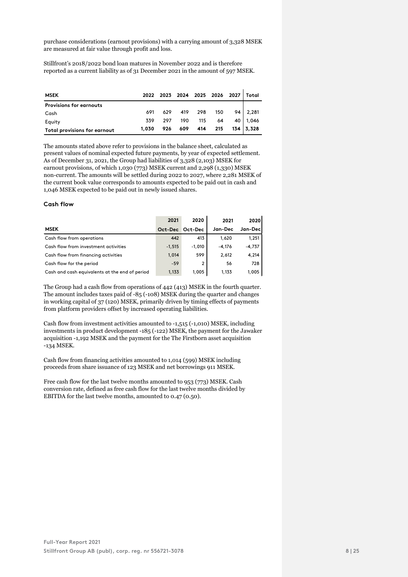purchase considerations (earnout provisions) with a carrying amount of 3,328 MSEK are measured at fair value through profit and loss.

Stillfront's 2018/2022 bond loan matures in November 2022 and is therefore reported as a current liability as of 31 December 2021 in the amount of 597 MSEK.

| <b>MSEK</b>                    | 2022  |     |             |             |     |                  | 2023 2024 2025 2026 2027 Total |
|--------------------------------|-------|-----|-------------|-------------|-----|------------------|--------------------------------|
| <b>Provisions for earnouts</b> |       |     |             |             |     |                  |                                |
| Cash                           | 691   |     | 629 419 298 |             | 150 |                  | $94 \mid 2,281$                |
| Equity                         | 339   | 297 |             | 190 115     | 64  |                  | 40   1,046                     |
| Total provisions for earnout   | 1,030 | 926 |             | 609 414 215 |     | $134 \mid 3,328$ |                                |

The amounts stated above refer to provisions in the balance sheet, calculated as present values of nominal expected future payments, by year of expected settlement. As of December 31, 2021, the Group had liabilities of 3,328 (2,103) MSEK for earnout provisions, of which 1,030 (773) MSEK current and 2,298 (1,330) MSEK non-current. The amounts will be settled during 2022 to 2027, where 2,281 MSEK of the current book value corresponds to amounts expected to be paid out in cash and 1,046 MSEK expected to be paid out in newly issued shares.

# **Cash flow**

|                                                | 2021     | 2020     | 2021     | 2020     |
|------------------------------------------------|----------|----------|----------|----------|
| <b>MSEK</b>                                    | Oct-Dec  | Oct-Dec  | Jan-Dec  | Jan-Decl |
| Cash flow from operations                      | 442      | 413      | 1.620    | 1,251    |
| Cash flow from investment activities           | $-1.515$ | $-1.010$ | $-4.176$ | $-4,737$ |
| Cash flow from financing activities            | 1.014    | 599      | 2,612    | 4,214    |
| Cash flow for the period                       | $-59$    | 2        | 56       | 728      |
| Cash and cash equivalents at the end of period | 1.133    | 1.005    | 1.133    | 1,005    |

The Group had a cash flow from operations of 442 (413) MSEK in the fourth quarter. The amount includes taxes paid of -85 (-108) MSEK during the quarter and changes in working capital of 37 (120) MSEK, primarily driven by timing effects of payments from platform providers offset by increased operating liabilities.

Cash flow from investment activities amounted to -1,515 (-1,010) MSEK, including investments in product development -185 (-122) MSEK, the payment for the Jawaker acquisition -1,192 MSEK and the payment for the The Firstborn asset acquisition -134 MSEK.

Cash flow from financing activities amounted to 1,014 (599) MSEK including proceeds from share issuance of 123 MSEK and net borrowings 911 MSEK.

Free cash flow for the last twelve months amounted to 953 (773) MSEK. Cash conversion rate, defined as free cash flow for the last twelve months divided by EBITDA for the last twelve months, amounted to 0.47 (0.50).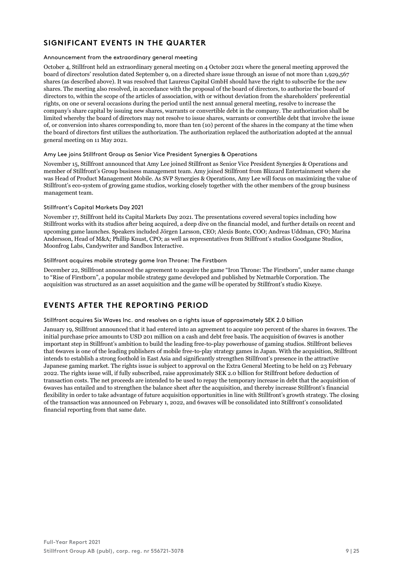# **SIGNIFICANT EVENTS IN THE QUARTER**

# Announcement from the extraordinary general meeting

October 4, Stillfront held an extraordinary general meeting on 4 October 2021 where the general meeting approved the board of directors' resolution dated September 9, on a directed share issue through an issue of not more than 1,929,567 shares (as described above). It was resolved that Laureus Capital GmbH should have the right to subscribe for the new shares. The meeting also resolved, in accordance with the proposal of the board of directors, to authorize the board of directors to, within the scope of the articles of association, with or without deviation from the shareholders' preferential rights, on one or several occasions during the period until the next annual general meeting, resolve to increase the company's share capital by issuing new shares, warrants or convertible debt in the company. The authorization shall be limited whereby the board of directors may not resolve to issue shares, warrants or convertible debt that involve the issue of, or conversion into shares corresponding to, more than ten (10) percent of the shares in the company at the time when the board of directors first utilizes the authorization. The authorization replaced the authorization adopted at the annual general meeting on 11 May 2021.

### Amy Lee joins Stillfront Group as Senior Vice President Synergies & Operations

November 15, Stillfront announced that Amy Lee joined Stillfront as Senior Vice President Synergies & Operations and member of Stillfront's Group business management team. Amy joined Stillfront from Blizzard Entertainment where she was Head of Product Management Mobile. As SVP Synergies & Operations, Amy Lee will focus on maximizing the value of Stillfront's eco-system of growing game studios, working closely together with the other members of the group business management team.

# Stillfront's Capital Markets Day 2021

November 17, Stillfront held its Capital Markets Day 2021. The presentations covered several topics including how Stillfront works with its studios after being acquired, a deep dive on the financial model, and further details on recent and upcoming game launches. Speakers included Jörgen Larsson, CEO; Alexis Bonte, COO; Andreas Uddman, CFO; Marina Andersson, Head of M&A; Phillip Knust, CPO; as well as representatives from Stillfront's studios Goodgame Studios, Moonfrog Labs, Candywriter and Sandbox Interactive.

### Stillfront acquires mobile strategy game Iron Throne: The Firstborn

December 22, Stillfront announced the agreement to acquire the game "Iron Throne: The Firstborn", under name change to "Rise of Firstborn", a popular mobile strategy game developed and published by Netmarble Corporation. The acquisition was structured as an asset acquisition and the game will be operated by Stillfront's studio Kixeye.

# **EVENTS AFTER THE REPORTING PERIOD**

### Stillfront acquires Six Waves Inc. and resolves on a rights issue of approximately SEK 2.0 billion

January 19, Stillfront announced that it had entered into an agreement to acquire 100 percent of the shares in 6waves. The initial purchase price amounts to USD 201 million on a cash and debt free basis. The acquisition of 6waves is another important step in Stillfront's ambition to build the leading free-to-play powerhouse of gaming studios. Stillfront believes that 6waves is one of the leading publishers of mobile free-to-play strategy games in Japan. With the acquisition, Stillfront intends to establish a strong foothold in East Asia and significantly strengthen Stillfront's presence in the attractive Japanese gaming market. The rights issue is subject to approval on the Extra General Meeting to be held on 23 February 2022. The rights issue will, if fully subscribed, raise approximately SEK 2.0 billion for Stillfront before deduction of transaction costs. The net proceeds are intended to be used to repay the temporary increase in debt that the acquisition of 6waves has entailed and to strengthen the balance sheet after the acquisition, and thereby increase Stillfront's financial flexibility in order to take advantage of future acquisition opportunities in line with Stillfront's growth strategy. The closing of the transaction was announced on February 1, 2022, and 6waves will be consolidated into Stillfront's consolidated financial reporting from that same date.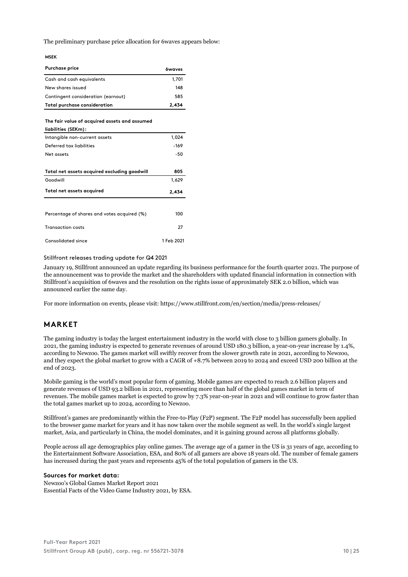The preliminary purchase price allocation for 6waves appears below:

#### **MSEK**

| <b>Purchase price</b>                                                | <b><i><u>ówaves</u></i></b> |
|----------------------------------------------------------------------|-----------------------------|
| Cash and cash equivalents                                            | 1,701                       |
| New shares issued                                                    | 148                         |
| Contingent consideration (earnout)                                   | 585                         |
| <b>Total purchase consideration</b>                                  | 2.434                       |
| The fair value of acquired assets and assumed<br>liabilities (SEKm): |                             |
| Intangible non-current assets                                        | 1,024                       |
| Deferred tax liabilities                                             | $-169$                      |
| Net assets                                                           | -50                         |
| Total net assets acquired excluding goodwill                         | 805                         |
| Goodwill                                                             | 1,629                       |
| Total net assets acquired                                            | 2,434                       |
|                                                                      |                             |
| Percentage of shares and votes acquired (%)                          | 100                         |
| <b>Transaction costs</b>                                             | 27                          |
| Consolidated since                                                   | 1 Feb 2021                  |

#### Stillfront releases trading update for Q4 2021

January 19, Stillfront announced an update regarding its business performance for the fourth quarter 2021. The purpose of the announcement was to provide the market and the shareholders with updated financial information in connection with Stillfront's acquisition of 6waves and the resolution on the rights issue of approximately SEK 2.0 billion, which was announced earlier the same day.

For more information on events, please visit: https://www.stillfront.com/en/section/media/press-releases/

# **MARKET**

The gaming industry is today the largest entertainment industry in the world with close to 3 billion gamers globally. In 2021, the gaming industry is expected to generate revenues of around USD 180.3 billion, a year-on-year increase by 1.4%, according to Newzoo. The games market will swiftly recover from the slower growth rate in 2021, according to Newzoo, and they expect the global market to grow with a CAGR of +8.7% between 2019 to 2024 and exceed USD 200 billion at the end of 2023.

Mobile gaming is the world's most popular form of gaming. Mobile games are expected to reach 2.6 billion players and generate revenues of USD 93.2 billion in 2021, representing more than half of the global games market in term of revenues. The mobile games market is expected to grow by 7.3% year-on-year in 2021 and will continue to grow faster than the total games market up to 2024, according to Newzoo.

Stillfront's games are predominantly within the Free-to-Play (F2P) segment. The F2P model has successfully been applied to the browser game market for years and it has now taken over the mobile segment as well. In the world's single largest market, Asia, and particularly in China, the model dominates, and it is gaining ground across all platforms globally.

People across all age demographics play online games. The average age of a gamer in the US is 31 years of age, according to the Entertainment Software Association, ESA, and 80% of all gamers are above 18 years old. The number of female gamers has increased during the past years and represents 45% of the total population of gamers in the US.

# **Sources for market data:**

Newzoo's Global Games Market Report 2021 Essential Facts of the Video Game Industry 2021, by ESA.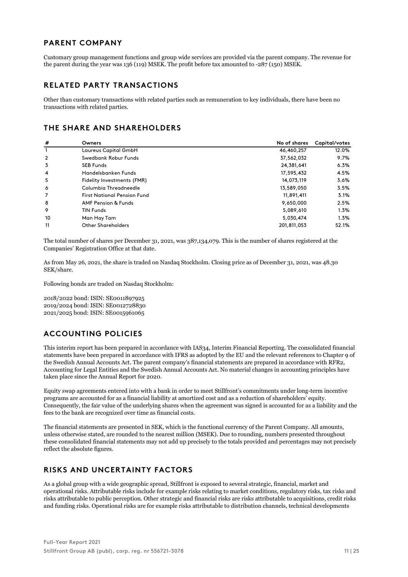# **PARENT COMPANY**

Customary group management functions and group wide services are provided via the parent company. The revenue for the parent during the year was 136 (119) MSEK. The profit before tax amounted to -287 (150) MSEK.

# **RELATED PARTY TRANSACTIONS**

Other than customary transactions with related parties such as remuneration to key individuals, there have been no transactions with related parties.

# **THE SHARE AND SHAREHOLDERS**

| #              | Owners                             | No of shares | Capital/votes |
|----------------|------------------------------------|--------------|---------------|
|                | Laureus Capital GmbH               | 46,460,257   | 12.0%         |
| $\overline{2}$ | Swedbank Robur Funds               | 37,562,032   | 9.7%          |
| 3              | <b>SEB Funds</b>                   | 24,381,641   | 6.3%          |
| 4              | Handelsbanken Funds                | 17,595,432   | 4.5%          |
| 5              | Fidelity Investments (FMR)         | 14,073,119   | 3.6%          |
| 6              | Columbia Threadneedle              | 13,589,050   | 3.5%          |
| 7              | <b>First National Pension Fund</b> | 11,891,411   | 3.1%          |
| 8              | <b>AMF Pension &amp; Funds</b>     | 9,650,000    | 2.5%          |
| 9              | <b>TIN Funds</b>                   | 5,089,610    | 1.3%          |
| 10             | Man Hay Tam                        | 5,030,474    | 1.3%          |
| 11             | <b>Other Shareholders</b>          | 201.811.053  | 52.1%         |

The total number of shares per December 31, 2021, was 387,134,079. This is the number of shares registered at the Companies' Registration Office at that date.

As from May 26, 2021, the share is traded on Nasdaq Stockholm. Closing price as of December 31, 2021, was 48.30 SEK/share.

Following bonds are traded on Nasdaq Stockholm:

2018/2022 bond: ISIN: SE0011897925 2019/2024 bond: ISIN: SE0012728830 2021/2025 bond: ISIN: SE0015961065

# **ACCOUNTING POLICIES**

This interim report has been prepared in accordance with IAS34, Interim Financial Reporting. The consolidated financial statements have been prepared in accordance with IFRS as adopted by the EU and the relevant references to Chapter 9 of the Swedish Annual Accounts Act. The parent company's financial statements are prepared in accordance with RFR2, Accounting for Legal Entities and the Swedish Annual Accounts Act. No material changes in accounting principles have taken place since the Annual Report for 2020.

Equity swap agreements entered into with a bank in order to meet Stillfront's commitments under long-term incentive programs are accounted for as a financial liability at amortized cost and as a reduction of shareholders' equity. Consequently, the fair value of the underlying shares when the agreement was signed is accounted for as a liability and the fees to the bank are recognized over time as financial costs.

The financial statements are presented in SEK, which is the functional currency of the Parent Company. All amounts, unless otherwise stated, are rounded to the nearest million (MSEK). Due to rounding, numbers presented throughout these consolidated financial statements may not add up precisely to the totals provided and percentages may not precisely reflect the absolute figures.

# **RISKS AND UNCERTAINTY FACTORS**

As a global group with a wide geographic spread, Stillfront is exposed to several strategic, financial, market and operational risks. Attributable risks include for example risks relating to market conditions, regulatory risks, tax risks and risks attributable to public perception. Other strategic and financial risks are risks attributable to acquisitions, credit risks and funding risks. Operational risks are for example risks attributable to distribution channels, technical developments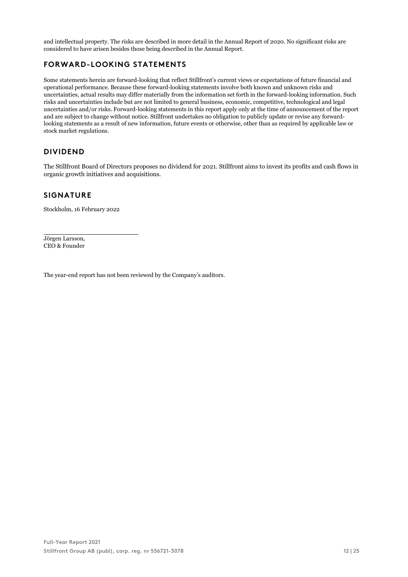and intellectual property. The risks are described in more detail in the Annual Report of 2020. No significant risks are considered to have arisen besides those being described in the Annual Report.

# **FORWARD-LOOKING STATEMENTS**

Some statements herein are forward-looking that reflect Stillfront's current views or expectations of future financial and operational performance. Because these forward-looking statements involve both known and unknown risks and uncertainties, actual results may differ materially from the information set forth in the forward-looking information. Such risks and uncertainties include but are not limited to general business, economic, competitive, technological and legal uncertainties and/or risks. Forward-looking statements in this report apply only at the time of announcement of the report and are subject to change without notice. Stillfront undertakes no obligation to publicly update or revise any forwardlooking statements as a result of new information, future events or otherwise, other than as required by applicable law or stock market regulations.

# **DIVIDEND**

The Stillfront Board of Directors proposes no dividend for 2021. Stillfront aims to invest its profits and cash flows in organic growth initiatives and acquisitions.

# **SIGNATURE**

Stockholm, 16 February 2022

Jörgen Larsson, CEO & Founder

The year-end report has not been reviewed by the Company's auditors.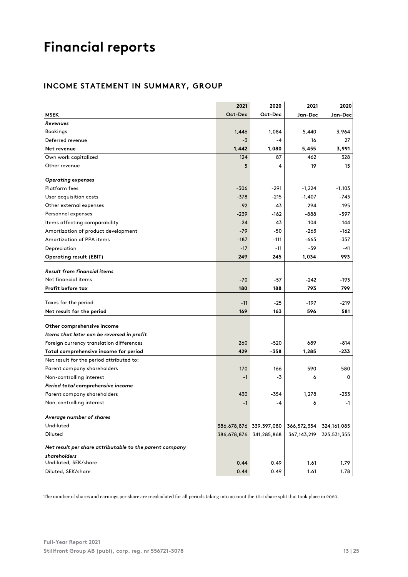# **Financial reports**

# **INCOME STATEMENT IN SUMMARY, GROUP**

|                                                         | 2021        | 2020        | 2021          | 2020          |
|---------------------------------------------------------|-------------|-------------|---------------|---------------|
| <b>MSEK</b>                                             | Oct-Dec     | Oct-Dec     | Jan-Dec       | Jan-Dec       |
| Revenues                                                |             |             |               |               |
| Bookings                                                | 1,446       | 1,084       | 5,440         | 3,964         |
| Deferred revenue                                        | $-3$        | -4          | 16            | 27            |
| Net revenue                                             | 1,442       | 1,080       | 5,455         | 3,991         |
| Own work capitalized                                    | 124         | 87          | 462           | 328           |
| Other revenue                                           | 5           | 4           | 19            | 15            |
| Operating expenses                                      |             |             |               |               |
| Platform fees                                           | $-306$      | -291        | $-1,224$      | $-1,103$      |
| User acquisition costs                                  | $-378$      | $-215$      | $-1,407$      | $-743$        |
| Other external expenses                                 | $-92$       | -43         | $-294$        | $-195$        |
| Personnel expenses                                      | $-239$      | -162        | $-888$        | $-597$        |
| Items affecting comparability                           | $-24$       | $-43$       | $-104$        | $-144$        |
| Amortization of product development                     | $-79$       | -50         | -263          | -162          |
| Amortization of PPA items                               | $-187$      | $-111$      | -665          | $-357$        |
| Depreciation                                            | $-17$       | $-11$       | $-59$         | $-41$         |
| <b>Operating result (EBIT)</b>                          | 249         | 245         | 1,034         | 993           |
|                                                         |             |             |               |               |
| <b>Result from financial items</b>                      |             |             |               |               |
| Net financial items                                     | $-70$       | $-57$       | $-242$        | -193          |
| Profit before tax                                       | 180         | 188         | 793           | 799           |
| Taxes for the period                                    | $-11$       | $-25$       | $-197$        | $-219$        |
| Net result for the period                               | 169         | 163         | 596           | 581           |
|                                                         |             |             |               |               |
| Other comprehensive income                              |             |             |               |               |
| Items that later can be reversed in profit              |             |             |               |               |
| Foreign currency translation differences                | 260         | $-520$      | 689           | $-814$        |
| Total comprehensive income for period                   | 429         | $-358$      | 1,285         | $-233$        |
| Net result for the period attributed to:                |             |             |               |               |
| Parent company shareholders                             | 170         | 166         | 590           | 580           |
| Non-controlling interest                                | $-1$        | -3          | 6             | 0             |
| Period total comprehensive income                       |             |             |               |               |
| Parent company shareholders                             | 430         | $-354$      | 1,278         | $-233$        |
| Non-controlling interest                                | $-1$        | -4          | 6             | $-1$          |
| Average number of shares                                |             |             |               |               |
| Undiluted                                               | 386,678,876 | 339,397,080 | 366,572,354   | 324, 161, 085 |
| Diluted                                                 | 386,678,876 | 341,285,868 | 367, 143, 219 | 325,531,355   |
| Net result per share attributable to the parent company |             |             |               |               |
| shareholders                                            |             |             |               |               |
| Undiluted, SEK/share                                    | 0.44        | 0.49        | 1.61          | 1.79          |
| Diluted, SEK/share                                      | 0.44        | 0.49        | 1.61          | 1.78          |

The number of shares and earnings per share are recalculated for all periods taking into account the 10:1 share split that took place in 2020.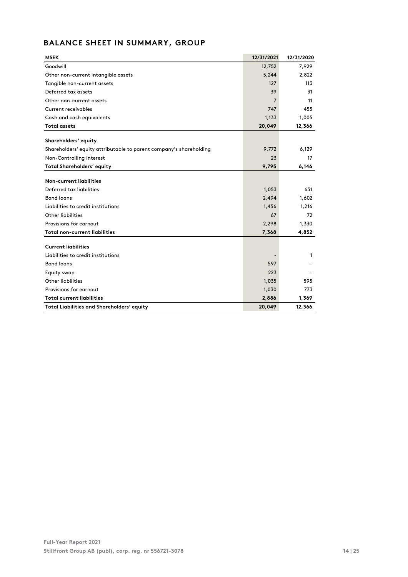# **BALANCE SHEET IN SUMMARY, GROUP**

| <b>MSEK</b>                                                        | 12/31/2021 | 12/31/2020 |
|--------------------------------------------------------------------|------------|------------|
| Goodwill                                                           | 12,752     | 7,929      |
| Other non-current intangible assets                                | 5,244      | 2,822      |
| Tangible non-current assets                                        | 127        | 113        |
| Deferred tax assets                                                | 39         | 31         |
| Other non-current assets                                           | 7          | 11         |
| <b>Current receivables</b>                                         | 747        | 455        |
| Cash and cash equivalents                                          | 1,133      | 1,005      |
| <b>Total assets</b>                                                | 20,049     | 12,366     |
|                                                                    |            |            |
| Shareholders' equity                                               |            |            |
| Shareholders' equity attributable to parent company's shareholding | 9,772      | 6,129      |
| Non-Controlling interest                                           | 23         | 17         |
| <b>Total Shareholders' equity</b>                                  | 9,795      | 6,146      |
|                                                                    |            |            |
| Non-current liabilities                                            |            |            |
| Deferred tax liabilities                                           | 1,053      | 631        |
| <b>Bond loans</b>                                                  | 2,494      | 1,602      |
| Liabilities to credit institutions                                 | 1,456      | 1,216      |
| <b>Other liabilities</b>                                           | 67         | 72         |
| Provisions for earnout                                             | 2,298      | 1,330      |
| <b>Total non-current liabilities</b>                               | 7,368      | 4,852      |
|                                                                    |            |            |
| <b>Current liabilities</b>                                         |            |            |
| Liabilities to credit institutions                                 |            | 1          |
| <b>Bond loans</b>                                                  | 597        |            |
| Equity swap                                                        | 223        |            |
| <b>Other liabilities</b>                                           | 1,035      | 595        |
| Provisions for earnout                                             | 1,030      | 773        |
| <b>Total current liabilities</b>                                   | 2,886      | 1,369      |
| Total Liabilities and Shareholders' equity                         | 20,049     | 12,366     |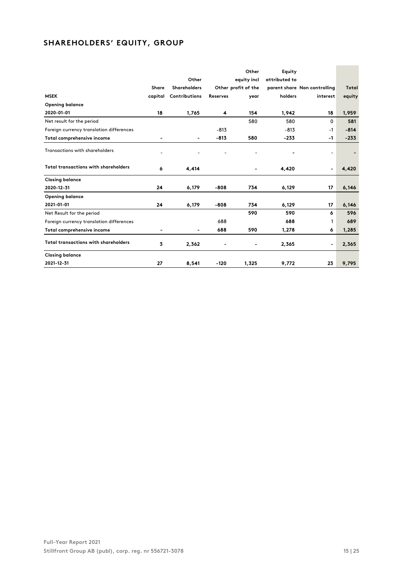# **SHAREHOLDERS' EQUITY, GROUP**

|                                             |         |                          |                 | Other               | Equity        |                              |        |
|---------------------------------------------|---------|--------------------------|-----------------|---------------------|---------------|------------------------------|--------|
|                                             |         | Other                    |                 | equity incl         | attributed to |                              |        |
|                                             | Share   | <b>Shareholders</b>      |                 | Other profit of the |               | parent share Non controlling | Total  |
| <b>MSEK</b>                                 | capital | Contributions            | <b>Reserves</b> | year                | holders       | interest                     | equity |
| <b>Opening balance</b>                      |         |                          |                 |                     |               |                              |        |
| 2020-01-01                                  | 18      | 1,765                    | 4               | 154                 | 1,942         | 18                           | 1,959  |
| Net result for the period                   |         |                          |                 | 580                 | 580           | 0                            | 581    |
| Foreign currency translation differences    |         |                          | $-813$          |                     | $-813$        | $-1$                         | $-814$ |
| Total comprehensive income                  |         | $\blacksquare$           | $-813$          | 580                 | $-233$        | $-1$                         | $-233$ |
| <b>Transactions with shareholders</b>       |         |                          |                 |                     |               | ٠                            |        |
| <b>Total transactions with shareholders</b> | 6       | 4,414                    |                 |                     | 4,420         | $\blacksquare$               | 4,420  |
| <b>Closing balance</b>                      |         |                          |                 |                     |               |                              |        |
| 2020-12-31                                  | 24      | 6,179                    | $-808$          | 734                 | 6,129         | 17                           | 6,146  |
| <b>Opening balance</b>                      |         |                          |                 |                     |               |                              |        |
| 2021-01-01                                  | 24      | 6,179                    | $-808$          | 734                 | 6,129         | 17                           | 6,146  |
| Net Result for the period                   |         |                          |                 | 590                 | 590           | 6                            | 596    |
| Foreign currency translation differences    |         |                          | 688             |                     | 688           | 1                            | 689    |
| Total comprehensive income                  |         | $\overline{\phantom{0}}$ | 688             | 590                 | 1,278         | 6                            | 1,285  |
| <b>Total transactions with shareholders</b> | 3       | 2,362                    |                 |                     | 2,365         | $\blacksquare$               | 2,365  |
| <b>Closing balance</b>                      |         |                          |                 |                     |               |                              |        |
| 2021-12-31                                  | 27      | 8,541                    | $-120$          | 1,325               | 9,772         | 23                           | 9,795  |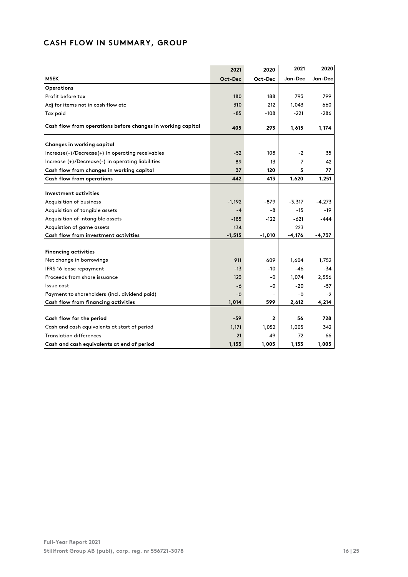# **CASH FLOW IN SUMMARY, GROUP**

|                                                             | 2021     | 2020     | 2021     | 2020     |
|-------------------------------------------------------------|----------|----------|----------|----------|
| <b>MSEK</b>                                                 | Oct-Dec  | Oct-Dec  | Jan-Dec  | Jan-Dec  |
| Operations                                                  |          |          |          |          |
| Profit before tax                                           | 180      | 188      | 793      | 799      |
| Adj for items not in cash flow etc                          | 310      | 212      | 1.043    | 660      |
| Tax paid                                                    | $-85$    | $-108$   | $-221$   | $-286$   |
| Cash flow from operations before changes in working capital | 405      | 293      | 1,615    | 1,174    |
| Changes in working capital                                  |          |          |          |          |
| Increase(-)/Decrease(+) in operating receivables            | $-52$    | 108      | -2       | 35       |
| Increase (+)/Decrease(-) in operating liabilities           | 89       | 13       | 7        | 42       |
| Cash flow from changes in working capital                   | 37       | 120      | 5        | 77       |
| Cash flow from operations                                   | 442      | 413      | 1,620    | 1,251    |
| Investment activities                                       |          |          |          |          |
| Acquisition of business                                     | $-1,192$ | -879     | $-3,317$ | $-4,273$ |
| Acquisition of tangible assets                              | $-4$     | -8       | $-15$    | $-19$    |
| Acquisition of intangible assets                            | $-185$   | $-122$   | $-621$   | -444     |
| Acquistion of game assets                                   | $-134$   |          | $-223$   |          |
| Cash flow from investment activities                        | $-1,515$ | $-1,010$ | $-4,176$ | -4,737   |
|                                                             |          |          |          |          |
| <b>Financing activities</b>                                 |          |          |          |          |
| Net change in borrowings                                    | 911      | 609      | 1,604    | 1,752    |
| IFRS 16 lease repayment                                     | $-13$    | $-10$    | -46      | -34      |
| Proceeds from share issuance                                | 123      | -0       | 1,074    | 2,556    |
| Issue cost                                                  | -6       | -0       | $-20$    | $-57$    |
| Payment to shareholders (incl. dividend paid)               | $-0$     |          | -0       | $-2$     |
| Cash flow from financing activities                         | 1,014    | 599      | 2,612    | 4,214    |
|                                                             |          |          |          |          |
| Cash flow for the period                                    | $-59$    | 2        | 56       | 728      |
| Cash and cash equivalents at start of period                | 1,171    | 1,052    | 1,005    | 342      |
| <b>Translation differences</b>                              | 21       | $-49$    | 72       | -66      |
| Cash and cash equivalents at end of period                  | 1,133    | 1,005    | 1,133    | 1,005    |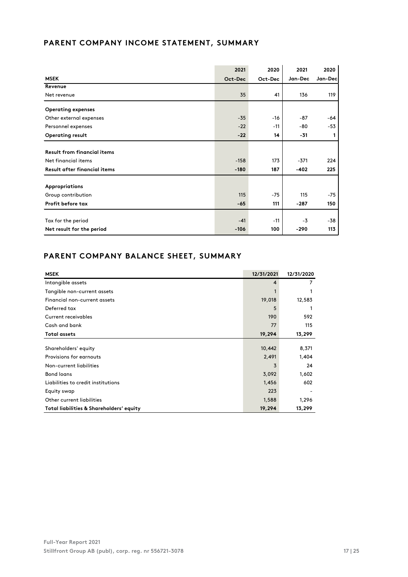# **PARENT COMPANY INCOME STATEMENT, SUMMARY**

|                                     | 2021    | 2020    | 2021    | 2020    |
|-------------------------------------|---------|---------|---------|---------|
| <b>MSEK</b>                         | Oct-Dec | Oct-Dec | Jan-Dec | Jan-Dec |
| Revenue                             |         |         |         |         |
| Net revenue                         | 35      | 41      | 136     | 119     |
| <b>Operating expenses</b>           |         |         |         |         |
| Other external expenses             | $-35$   | $-16$   | $-87$   | -64     |
| Personnel expenses                  | $-22$   | $-11$   | -80     | $-53$   |
| <b>Operating result</b>             | $-22$   | 14      | $-31$   | 1       |
| <b>Result from financial items</b>  |         |         |         |         |
| Net financial items                 | $-158$  | 173     | $-371$  | 224     |
| <b>Result after financial items</b> | $-180$  | 187     | $-402$  | 225     |
| <b>Appropriations</b>               |         |         |         |         |
| Group contribution                  | 115     | $-75$   | 115     | $-75$   |
| Profit before tax                   | $-65$   | 111     | $-287$  | 150     |
| Tax for the period                  | $-41$   | $-11$   | $-3$    | $-38$   |
| Net result for the period           | $-106$  | 100     | $-290$  | 113     |

# **PARENT COMPANY BALANCE SHEET, SUMMARY**

| <b>MSEK</b>                              | 12/31/2021 | 12/31/2020 |
|------------------------------------------|------------|------------|
| Intangible assets                        | 4          | 7          |
| Tangible non-current assets              |            |            |
| Financial non-current assets             | 19,018     | 12,583     |
| Deferred tax                             | 5          |            |
| <b>Current receivables</b>               | 190        | 592        |
| Cash and bank                            | 77         | 115        |
| <b>Total assets</b>                      | 19,294     | 13,299     |
|                                          |            |            |
| Shareholders' equity                     | 10,442     | 8,371      |
| Provisions for earnouts                  | 2,491      | 1,404      |
| Non-current liabilities                  | 3          | 24         |
| <b>Bond loans</b>                        | 3,092      | 1,602      |
| Liabilities to credit institutions       | 1,456      | 602        |
| Equity swap                              | 223        |            |
| Other current liabilities                | 1,588      | 1,296      |
| Total liabilities & Shareholders' equity | 19,294     | 13,299     |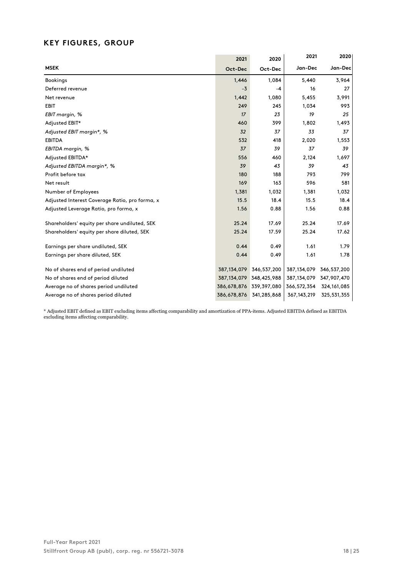# **KEY FIGURES, GROUP**

|                                                | 2021          | 2020                    | 2021          | 2020        |
|------------------------------------------------|---------------|-------------------------|---------------|-------------|
| <b>MSEK</b>                                    | Oct-Dec       | Oct-Dec                 | Jan-Dec       | Jan-Dec     |
| <b>Bookings</b>                                | 1,446         | 1,084                   | 5,440         | 3,964       |
| Deferred revenue                               | $-3$          | -4                      | 16            | 27          |
| Net revenue                                    | 1,442         | 1,080                   | 5,455         | 3,991       |
| <b>EBIT</b>                                    | 249           | 245                     | 1,034         | 993         |
| EBIT margin, %                                 | 17            | 23                      | 19            | 25          |
| Adjusted EBIT*                                 | 460           | 399                     | 1,802         | 1,493       |
| Adjusted EBIT margin*, %                       | 32            | 37                      | 33            | 37          |
| <b>EBITDA</b>                                  | 532           | 418                     | 2,020         | 1,553       |
| EBITDA margin, %                               | 37            | 39                      | 37            | 39          |
| Adjusted EBITDA*                               | 556           | 460                     | 2,124         | 1,697       |
| Adjusted EBITDA margin*, %                     | 39            | 43                      | 39            | 43          |
| Profit before tax                              | 180           | 188                     | 793           | 799         |
| Net result                                     | 169           | 163                     | 596           | 581         |
| Number of Employees                            | 1,381         | 1,032                   | 1,381         | 1,032       |
| Adjusted Interest Coverage Ratio, pro forma, x | 15.5          | 18.4                    | 15.5          | 18.4        |
| Adjusted Leverage Ratio, pro forma, x          | 1.56          | 0.88                    | 1.56          | 0.88        |
| Shareholders' equity per share undiluted, SEK  | 25.24         | 17.69                   | 25.24         | 17.69       |
| Shareholders' equity per share diluted, SEK    | 25.24         | 17.59                   | 25.24         | 17.62       |
| Earnings per share undiluted, SEK              | 0.44          | 0.49                    | 1.61          | 1.79        |
| Earnings per share diluted, SEK                | 0.44          | 0.49                    | 1.61          | 1.78        |
| No of shares end of period undiluted           | 387, 134, 079 | 346,537,200             | 387,134,079   | 346,537,200 |
| No of shares end of period diluted             |               | 387,134,079 348,425,988 | 387,134,079   | 347,907,470 |
| Average no of shares period undiluted          |               | 386,678,876 339,397,080 | 366,572,354   | 324,161,085 |
| Average no of shares period diluted            | 386,678,876   | 341,285,868             | 367, 143, 219 | 325,531,355 |

\* Adjusted EBIT defined as EBIT excluding items affecting comparability and amortization of PPA-items. Adjusted EBITDA defined as EBITDA excluding items affecting comparability.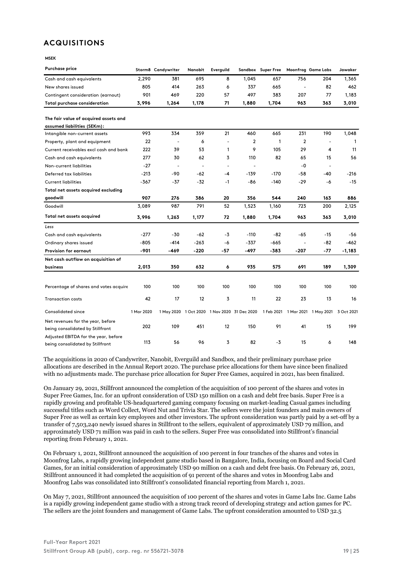# **ACQUISITIONS**

**MSEK** 

| <b>Purchase price</b>                                                    |            | Storm8 Candywriter       | Nanobit        | Everguild                |                                              | Sandbox Super Free |                          | Moonfrog Game Labs                          | Jawaker  |
|--------------------------------------------------------------------------|------------|--------------------------|----------------|--------------------------|----------------------------------------------|--------------------|--------------------------|---------------------------------------------|----------|
| Cash and cash equivalents                                                | 2,290      | 381                      | 695            | 8                        | 1,045                                        | 657                | 756                      | 204                                         | 1,365    |
| New shares issued                                                        | 805        | 414                      | 263            | 6                        | 337                                          | 665                | $\overline{\phantom{a}}$ | 82                                          | 462      |
| Contingent consideration (earnout)                                       | 901        | 469                      | 220            | 57                       | 497                                          | 383                | 207                      | 77                                          | 1,183    |
| <b>Total purchase consideration</b>                                      | 3,996      | 1,264                    | 1,178          | 71                       | 1,880                                        | 1,704              | 963                      | 363                                         | 3,010    |
| The fair value of acquired assets and                                    |            |                          |                |                          |                                              |                    |                          |                                             |          |
| assumed liabilities (SEKm):                                              |            |                          |                |                          |                                              |                    |                          |                                             |          |
| Intangible non-current assets                                            | 993        | 334                      | 359            | 21                       | 460                                          | 665                | 231                      | 190                                         | 1,048    |
| Property, plant and equipment                                            | 22         | $\overline{\phantom{a}}$ | 6              | $\overline{\phantom{m}}$ | $\overline{2}$                               | $\mathbf{1}$       | $\overline{2}$           | $\overline{\phantom{m}}$                    | 1        |
| Current receivables excl cash and bank                                   | 222        | 39                       | 53             | 1                        | 9                                            | 105                | 29                       | 4                                           | 11       |
| Cash and cash equivalents                                                | 277        | 30                       | 62             | 3                        | 110                                          | 82                 | 65                       | 15                                          | 56       |
| Non-current liabilities                                                  | $-27$      | $\overline{\phantom{a}}$ | $\overline{a}$ | $\overline{\phantom{m}}$ | $\overline{\phantom{a}}$                     |                    | $-0$                     | ÷                                           |          |
| Deferred tax liabilities                                                 | $-213$     | -90                      | $-62$          | $-4$                     | $-139$                                       | $-170$             | -58                      | -40                                         | -216     |
| <b>Current liabilities</b>                                               | -367       | $-37$                    | $-32$          | -1                       | -86                                          | $-140$             | -29                      | -6                                          | $-15$    |
| Total net assets acquired excluding                                      |            |                          |                |                          |                                              |                    |                          |                                             |          |
| goodwill                                                                 | 907        | 276                      | 386            | 20                       | 356                                          | 544                | 240                      | 163                                         | 886      |
| Goodwill                                                                 | 3,089      | 987                      | 791            | 52                       | 1,523                                        | 1,160              | 723                      | 200                                         | 2,125    |
| Total net assets acquired                                                | 3,996      | 1,263                    | 1,177          | 72                       | 1,880                                        | 1,704              | 963                      | 363                                         | 3,010    |
| Less                                                                     |            |                          |                |                          |                                              |                    |                          |                                             |          |
| Cash and cash equivalents                                                | $-277$     | -30                      | $-62$          | -3                       | $-110$                                       | $-82$              | -65                      | $-15$                                       | -56      |
| Ordinary shares issued                                                   | $-805$     | $-414$                   | $-263$         | -6                       | $-337$                                       | $-665$             | $\blacksquare$           | $-82$                                       | -462     |
| Provision for earnout                                                    | -901       | -469                     | $-220$         | -57                      | -497                                         | -383               | $-207$                   | -77                                         | $-1,183$ |
| Net cash outflow on acquisition of                                       |            |                          |                |                          |                                              |                    |                          |                                             |          |
| business                                                                 | 2,013      | 350                      | 632            | 6                        | 935                                          | 575                | 691                      | 189                                         | 1,309    |
|                                                                          |            |                          |                |                          |                                              |                    |                          |                                             |          |
| Percentage of shares and votes acquire                                   | 100        | 100                      | 100            | 100                      | 100                                          | 100                | 100                      | 100                                         | 100      |
| <b>Transaction costs</b>                                                 | 42         | 17                       | 12             | 3                        | 11                                           | 22                 | 23                       | 13                                          | 16       |
| Consolidated since                                                       | 1 Mar 2020 |                          |                |                          | 1 May 2020 1 Oct 2020 1 Nov 2020 31 Dec 2020 |                    |                          | 1 Feb 2021 1 Mar 2021 1 May 2021 3 Oct 2021 |          |
| Net revenues for the year, before                                        |            |                          |                |                          |                                              |                    |                          |                                             |          |
| being consolidated by Stillfront                                         | 202        | 109                      | 451            | 12                       | 150                                          | 91                 | 41                       | 15                                          | 199      |
| Adjusted EBITDA for the year, before<br>being consolidated by Stillfront | 113        | 56                       | 96             | 3                        | 82                                           | $-3$               | 15                       | 6                                           | 148      |

The acquisitions in 2020 of Candywriter, Nanobit, Everguild and Sandbox, and their preliminary purchase price allocations are described in the Annual Report 2020. The purchase price allocations for them have since been finalized with no adjustments made. The purchase price allocation for Super Free Games, acquired in 2021, has been finalized.

On January 29, 2021, Stillfront announced the completion of the acquisition of 100 percent of the shares and votes in Super Free Games, Inc. for an upfront consideration of USD 150 million on a cash and debt free basis. Super Free is a rapidly growing and profitable US-headquartered gaming company focusing on market-leading Casual games including successful titles such as Word Collect, Word Nut and Trivia Star. The sellers were the joint founders and main owners of Super Free as well as certain key employees and other investors. The upfront consideration was partly paid by a set-off by a transfer of 7,503,240 newly issued shares in Stillfront to the sellers, equivalent of approximately USD 79 million, and approximately USD 71 million was paid in cash to the sellers. Super Free was consolidated into Stillfront's financial reporting from February 1, 2021.

On February 1, 2021, Stillfront announced the acquisition of 100 percent in four tranches of the shares and votes in Moonfrog Labs, a rapidly growing independent game studio based in Bangalore, India, focusing on Board and Social Card Games, for an initial consideration of approximately USD 90 million on a cash and debt free basis. On February 26, 2021, Stillfront announced it had completed the acquisition of 91 percent of the shares and votes in Moonfrog Labs and Moonfrog Labs was consolidated into Stillfront's consolidated financial reporting from March 1, 2021.

On May 7, 2021, Stillfront announced the acquisition of 100 percent of the shares and votes in Game Labs Inc. Game Labs is a rapidly growing independent game studio with a strong track record of developing strategy and action games for PC. The sellers are the joint founders and management of Game Labs. The upfront consideration amounted to USD 32.5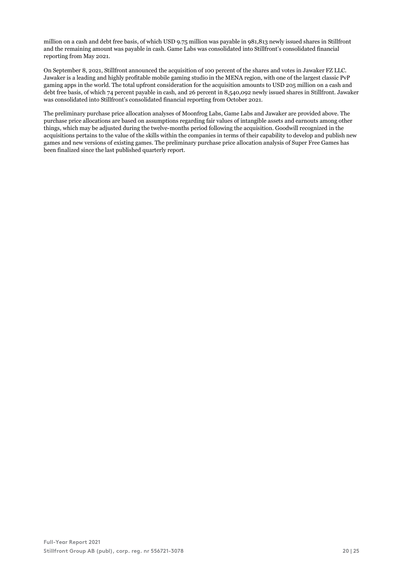million on a cash and debt free basis, of which USD 9.75 million was payable in 981,813 newly issued shares in Stillfront and the remaining amount was payable in cash. Game Labs was consolidated into Stillfront's consolidated financial reporting from May 2021.

On September 8, 2021, Stillfront announced the acquisition of 100 percent of the shares and votes in Jawaker FZ LLC. Jawaker is a leading and highly profitable mobile gaming studio in the MENA region, with one of the largest classic PvP gaming apps in the world. The total upfront consideration for the acquisition amounts to USD 205 million on a cash and debt free basis, of which 74 percent payable in cash, and 26 percent in 8,540,092 newly issued shares in Stillfront. Jawaker was consolidated into Stillfront's consolidated financial reporting from October 2021.

The preliminary purchase price allocation analyses of Moonfrog Labs, Game Labs and Jawaker are provided above. The purchase price allocations are based on assumptions regarding fair values of intangible assets and earnouts among other things, which may be adjusted during the twelve-months period following the acquisition. Goodwill recognized in the acquisitions pertains to the value of the skills within the companies in terms of their capability to develop and publish new games and new versions of existing games. The preliminary purchase price allocation analysis of Super Free Games has been finalized since the last published quarterly report.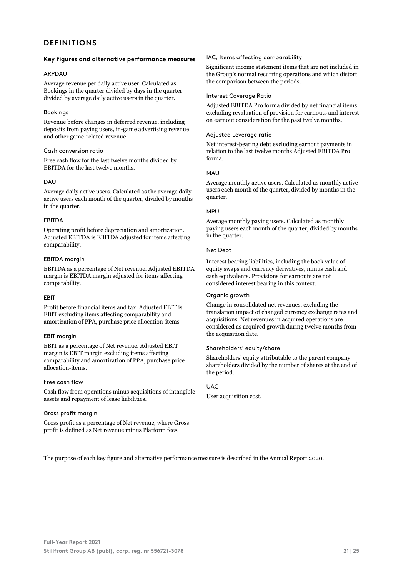# **DEFINITIONS**

## **Key figures and alternative performance measures**

### ARPDAU

Average revenue per daily active user. Calculated as Bookings in the quarter divided by days in the quarter divided by average daily active users in the quarter.

## Bookings

Revenue before changes in deferred revenue, including deposits from paying users, in-game advertising revenue and other game-related revenue.

### Cash conversion ratio

Free cash flow for the last twelve months divided by EBITDA for the last twelve months.

# DAU

Average daily active users. Calculated as the average daily active users each month of the quarter, divided by months in the quarter.

# **FRITDA**

Operating profit before depreciation and amortization. Adjusted EBITDA is EBITDA adjusted for items affecting comparability.

# EBITDA margin

EBITDA as a percentage of Net revenue. Adjusted EBITDA margin is EBITDA margin adjusted for items affecting comparability.

# EBIT

Profit before financial items and tax. Adjusted EBIT is EBIT excluding items affecting comparability and amortization of PPA, purchase price allocation-items

### EBIT margin

EBIT as a percentage of Net revenue. Adjusted EBIT margin is EBIT margin excluding items affecting comparability and amortization of PPA, purchase price allocation-items.

### Free cash flow

Cash flow from operations minus acquisitions of intangible assets and repayment of lease liabilities.

### Gross profit margin

Gross profit as a percentage of Net revenue, where Gross profit is defined as Net revenue minus Platform fees.

## IAC, Items affecting comparability

Significant income statement items that are not included in the Group's normal recurring operations and which distort the comparison between the periods.

### Interest Coverage Ratio

Adjusted EBITDA Pro forma divided by net financial items excluding revaluation of provision for earnouts and interest on earnout consideration for the past twelve months.

# Adjusted Leverage ratio

Net interest-bearing debt excluding earnout payments in relation to the last twelve months Adjusted EBITDA Pro forma.

# **MAU**

Average monthly active users. Calculated as monthly active users each month of the quarter, divided by months in the quarter.

# MPU

Average monthly paying users. Calculated as monthly paying users each month of the quarter, divided by months in the quarter.

# Net Debt

Interest bearing liabilities, including the book value of equity swaps and currency derivatives, minus cash and cash equivalents. Provisions for earnouts are not considered interest bearing in this context.

# Organic growth

Change in consolidated net revenues, excluding the translation impact of changed currency exchange rates and acquisitions. Net revenues in acquired operations are considered as acquired growth during twelve months from the acquisition date.

## Shareholders' equity/share

Shareholders' equity attributable to the parent company shareholders divided by the number of shares at the end of the period.

# UAC

User acquisition cost.

The purpose of each key figure and alternative performance measure is described in the Annual Report 2020.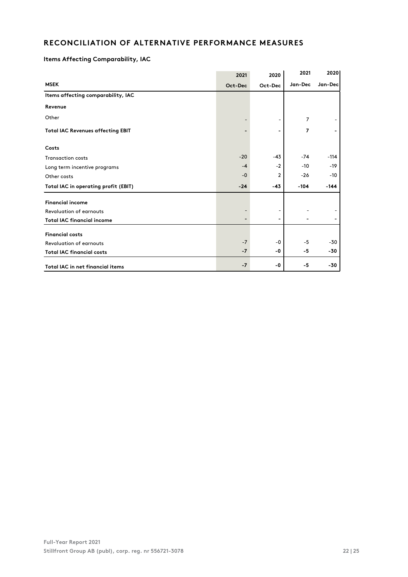# **RECONCILIATION OF ALTERNATIVE PERFORMANCE MEASURES**

# **Items Affecting Comparability, IAC**

|                                          | 2021    | 2020                     | 2021           | 2020    |
|------------------------------------------|---------|--------------------------|----------------|---------|
| <b>MSEK</b>                              | Oct-Dec | Oct-Dec                  | Jan-Dec        | Jan-Dec |
| Items affecting comparability, IAC       |         |                          |                |         |
| Revenue                                  |         |                          |                |         |
| Other                                    |         |                          | 7              |         |
| <b>Total IAC Revenues affecting EBIT</b> |         | ۰                        | $\overline{ }$ |         |
| Costs                                    |         |                          |                |         |
| <b>Transaction costs</b>                 | $-20$   | $-43$                    | $-74$          | $-114$  |
| Long term incentive programs             | $-4$    | $-2$                     | $-10$          | $-19$   |
| Other costs                              | $-0$    | $\overline{2}$           | $-26$          | $-10$   |
| Total IAC in operating profit (EBIT)     | $-24$   | $-43$                    | $-104$         | $-144$  |
| <b>Financial income</b>                  |         |                          |                |         |
| <b>Revaluation of earnouts</b>           |         |                          |                |         |
| <b>Total IAC financial income</b>        |         | $\overline{\phantom{a}}$ |                |         |
| <b>Financial costs</b>                   |         |                          |                |         |
| <b>Revaluation of earnouts</b>           | $-7$    | -0                       | $-5$           | $-30$   |
| <b>Total IAC financial costs</b>         | $-7$    | -0                       | -5             | -30     |
| <b>Total IAC in net financial items</b>  | $-7$    | -0                       | -5             | -30     |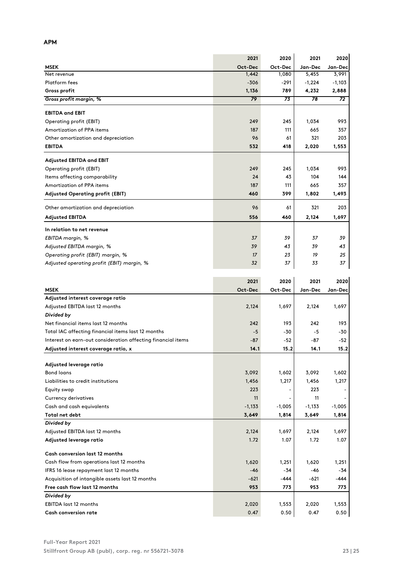|                                                              | 2021            | 2020            | 2021            | 2020     |
|--------------------------------------------------------------|-----------------|-----------------|-----------------|----------|
| <b>MSEK</b>                                                  | Oct-Dec         | Oct-Dec         | Jan-Dec         | Jan-Dec  |
| Net revenue                                                  | 1,442           | 1,080           | 5,455           | 3,991    |
| Platform fees                                                | $-306$          | -291            | $-1,224$        | -1,103   |
| Gross profit                                                 | 1,136           | 789             | 4,232           | 2,888    |
| Gross profit margin, %                                       | 79              | 73              | 78              | 72       |
| <b>EBITDA and EBIT</b>                                       |                 |                 |                 |          |
| Operating profit (EBIT)                                      | 249             | 245             | 1,034           | 993      |
| Amortization of PPA items                                    | 187             | 111             | 665             | 357      |
| Other amortization and depreciation                          | 96              | 61              | 321             | 203      |
| <b>EBITDA</b>                                                | 532             | 418             | 2,020           | 1,553    |
| Adjusted EBITDA and EBIT                                     |                 |                 |                 |          |
| Operating profit (EBIT)                                      | 249             | 245             | 1,034           | 993      |
| Items affecting comparability                                | 24              | 43              | 104             | 144      |
| Amortization of PPA items                                    | 187             | 111             | 665             | 357      |
| Adjusted Operating profit (EBIT)                             | 460             | 399             | 1,802           | 1,493    |
| Other amortization and depreciation                          | 96              | 61              | 321             | 203      |
| <b>Adjusted EBITDA</b>                                       | 556             | 460             | 2,124           | 1,697    |
|                                                              |                 |                 |                 |          |
| In relation to net revenue                                   |                 |                 |                 |          |
| EBITDA margin, %                                             | 37              | 39              | 37              | 39       |
| Adjusted EBITDA margin, %                                    | 39              | 43              | 39              | 43       |
| Operating profit (EBIT) margin, %                            | 17              | 23              | 19              | 25       |
| Adjusted operating profit (EBIT) margin, %                   | 32              | 37              | 33              | 37       |
|                                                              |                 |                 |                 |          |
| <b>MSEK</b>                                                  | 2021<br>Oct-Dec | 2020<br>Oct-Dec | 2021<br>Jan-Dec | 2020     |
| Adjusted interest coverage ratio                             |                 |                 |                 | Jan-Dec  |
| Adjusted EBITDA last 12 months                               | 2,124           | 1,697           | 2,124           | 1,697    |
| Divided by                                                   |                 |                 |                 |          |
| Net financial items last 12 months                           | 242             | 193             | 242             | 193      |
| Total IAC affecting financial items last 12 months           | $-5$            | -30             | -5              | -30      |
| Interest on earn-out consideration affecting financial items | $-87$           | -52             | -87             | -52      |
| Adjusted interest coverage ratio, x                          | 14.1            | 15.2            | 14.1            | 15.2     |
|                                                              |                 |                 |                 |          |
| Adjusted leverage ratio                                      |                 |                 |                 |          |
| <b>Bond loans</b>                                            | 3,092           | 1,602           | 3,092           | 1,602    |
| Liabilities to credit institutions                           | 1,456           | 1,217           | 1,456           | 1,217    |
| Equity swap                                                  | 223             |                 | 223             |          |
| <b>Currency derivatives</b>                                  | 11              |                 | 11              |          |
| Cash and cash equivalents                                    | $-1,133$        | $-1,005$        | $-1,133$        | $-1,005$ |
| Total net debt                                               | 3,649           | 1,814           | 3,649           | 1,814    |
| Divided by                                                   |                 |                 |                 |          |
| Adjusted EBITDA last 12 months                               | 2,124           | 1,697           | 2,124           | 1,697    |
| Adjusted leverage ratio                                      | 1.72            | 1.07            | 1.72            | 1.07     |
| <b>Cash conversion last 12 months</b>                        |                 |                 |                 |          |
| Cash flow from operations last 12 months                     | 1,620           | 1,251           | 1,620           | 1,251    |
| IFRS 16 lease repayment last 12 months                       | $-46$           | -34             | -46             | -34      |
| Acquisition of intangible assets last 12 months              | $-621$          | -444            | -621            | -444     |
| Free cash flow last 12 months                                | 953             | 773             | 953             | 773      |
| Divided by                                                   |                 |                 |                 |          |
| EBITDA last 12 months                                        | 2,020           | 1,553           | 2,020           | 1,553    |
| <b>Cash conversion rate</b>                                  | 0.47            | 0.50            | 0.47            | 0.50     |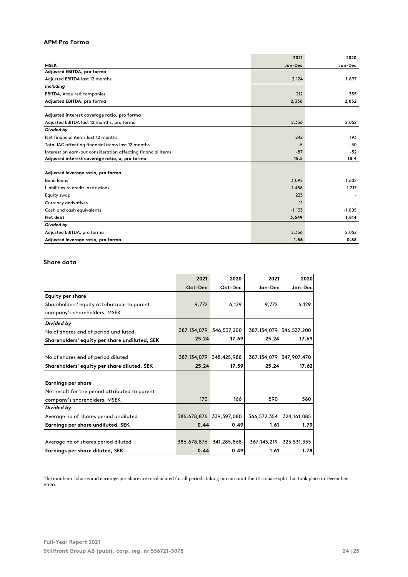# **APM Pro Forma**

|                                                              | 2021     | 2020     |
|--------------------------------------------------------------|----------|----------|
| <b>MSEK</b>                                                  | Jan-Dec  | Jan-Dec  |
| Adjusted EBITDA, pro forma                                   |          |          |
| Adjusted EBITDA last 12 months                               | 2,124    | 1,697    |
| Including                                                    |          |          |
| <b>EBITDA, Acquired companies</b>                            | 212      | 355      |
| Adjusted EBITDA, pro forma                                   | 2,336    | 2,052    |
| Adjusted interest coverage ratio, pro forma                  |          |          |
| Adjusted EBITDA last 12 months, pro forma                    | 2,336    | 2,052    |
| Divided by                                                   |          |          |
| Net financial items last 12 months                           | 242      | 193      |
| Total IAC affecting financial items last 12 months           | $-5$     | $-30$    |
| Interest on earn-out consideration affecting financial items | $-87$    | $-52$    |
| Adjusted interest coverage ratio, x, pro forma               | 15.5     | 18.4     |
| Adjusted leverage ratio, pro forma                           |          |          |
| <b>Bond loans</b>                                            | 3,092    | 1,602    |
| Liabilities to credit institutions                           | 1,456    | 1,217    |
| Equity swap                                                  | 223      |          |
| <b>Currency derivatives</b>                                  | 11       |          |
| Cash and cash equivalents                                    | $-1,133$ | $-1,005$ |
| Net debt                                                     | 3,649    | 1,814    |
| Divided by                                                   |          |          |
| Adjusted EBITDA, pro forma                                   | 2,336    | 2,052    |
| Adjusted leverage ratio, pro forma                           | 1.56     | 0.88     |

# **Share data**

|                                                | 2021                    | 2020                    | 2021                    | 2020                    |
|------------------------------------------------|-------------------------|-------------------------|-------------------------|-------------------------|
|                                                | Oct-Dec                 | Oct-Dec                 | Jan-Dec                 | Jan-Dec                 |
| <b>Equity per share</b>                        |                         |                         |                         |                         |
| Shareholders' equity attributable to parent    | 9.772                   | 6,129                   | 9.772                   | 6,129                   |
| company's shareholders, MSEK                   |                         |                         |                         |                         |
| Divided by                                     |                         |                         |                         |                         |
| No of shares end of period undiluted           |                         | 387,134,079 346,537,200 | 387,134,079 346,537,200 |                         |
| Shareholders' equity per share undiluted, SEK  | 25.24                   | 17.69                   | 25.24                   | 17.69                   |
|                                                |                         |                         |                         |                         |
| No of shares end of period diluted             |                         | 387,134,079 348,425,988 | 387,134,079 347,907,470 |                         |
| Shareholders' equity per share diluted, SEK    | 25.24                   | 17.59                   | 25.24                   | 17.62                   |
|                                                |                         |                         |                         |                         |
| <b>Earnings per share</b>                      |                         |                         |                         |                         |
| Net result for the period attributed to parent |                         |                         |                         |                         |
| company's shareholders, MSEK                   | 170                     | 166                     | 590                     | 580                     |
| Divided by                                     |                         |                         |                         |                         |
| Average no of shares period undiluted          | 386,678,876 339,397,080 |                         | 366,572,354 324,161,085 |                         |
| Earnings per share undiluted, SEK              | 0.44                    | 0.49                    | 1.61                    | 1.79                    |
|                                                |                         |                         |                         |                         |
| Average no of shares period diluted            | 386,678,876             | 341,285,868             |                         | 367,143,219 325,531,355 |
| Earnings per share diluted, SEK                | 0.44                    | 0.49                    | 1.61                    | 1.78                    |

The number of shares and earnings per share are recalculated for all periods taking into account the 10:1 share split that took place in December 2020.